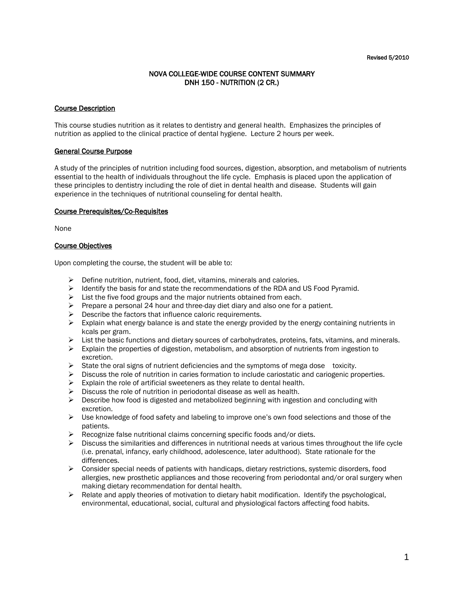## NOVA COLLEGE-WIDE COURSE CONTENT SUMMARY DNH 150 - NUTRITION (2 CR.)

### Course Description

This course studies nutrition as it relates to dentistry and general health. Emphasizes the principles of nutrition as applied to the clinical practice of dental hygiene. Lecture 2 hours per week.

#### General Course Purpose

A study of the principles of nutrition including food sources, digestion, absorption, and metabolism of nutrients essential to the health of individuals throughout the life cycle. Emphasis is placed upon the application of these principles to dentistry including the role of diet in dental health and disease. Students will gain experience in the techniques of nutritional counseling for dental health.

#### Course Prerequisites/Co-Requisites

None

#### Course Objectives

Upon completing the course, the student will be able to:

- $\triangleright$  Define nutrition, nutrient, food, diet, vitamins, minerals and calories.
- $\triangleright$  Identify the basis for and state the recommendations of the RDA and US Food Pyramid.
- $\triangleright$  List the five food groups and the major nutrients obtained from each.
- $\triangleright$  Prepare a personal 24 hour and three-day diet diary and also one for a patient.
- $\triangleright$  Describe the factors that influence caloric requirements.
- $\triangleright$  Explain what energy balance is and state the energy provided by the energy containing nutrients in kcals per gram.
- $\triangleright$  List the basic functions and dietary sources of carbohydrates, proteins, fats, vitamins, and minerals.
- $\triangleright$  Explain the properties of digestion, metabolism, and absorption of nutrients from ingestion to excretion.
- $\triangleright$  State the oral signs of nutrient deficiencies and the symptoms of mega dose toxicity.
- $\triangleright$  Discuss the role of nutrition in caries formation to include cariostatic and cariogenic properties.
- $\triangleright$  Explain the role of artificial sweeteners as they relate to dental health.
- $\triangleright$  Discuss the role of nutrition in periodontal disease as well as health.
- $\triangleright$  Describe how food is digested and metabolized beginning with ingestion and concluding with excretion.
- $\triangleright$  Use knowledge of food safety and labeling to improve one's own food selections and those of the patients.
- $\triangleright$  Recognize false nutritional claims concerning specific foods and/or diets.
- $\triangleright$  Discuss the similarities and differences in nutritional needs at various times throughout the life cycle (i.e. prenatal, infancy, early childhood, adolescence, later adulthood). State rationale for the differences.
- $\triangleright$  Consider special needs of patients with handicaps, dietary restrictions, systemic disorders, food allergies, new prosthetic appliances and those recovering from periodontal and/or oral surgery when making dietary recommendation for dental health.
- $\triangleright$  Relate and apply theories of motivation to dietary habit modification. Identify the psychological, environmental, educational, social, cultural and physiological factors affecting food habits.